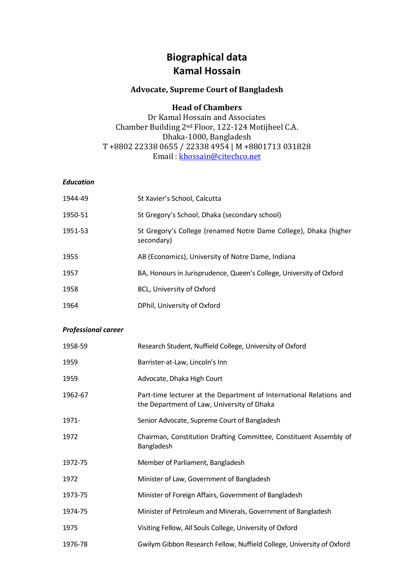# **Biographical data Kamal Hossain**

## **Advocate, Supreme Court of Bangladesh**

### **Head of Chambers**

Dr Kamal Hossain and Associates Chamber Building 2nd Floor, 122-124 Motijheel C.A. Dhaka-1000, Bangladesh T +8802 22338 0655 / 22338 4954 | M +8801713 031828 Email [: khossain@citechco.net](mailto:khossain@citechco.net)

#### *Education*

| 1944-49 | St Xavier's School, Calcutta                                                   |
|---------|--------------------------------------------------------------------------------|
| 1950-51 | St Gregory's School, Dhaka (secondary school)                                  |
| 1951-53 | St Gregory's College (renamed Notre Dame College), Dhaka (higher<br>secondary) |
| 1955    | AB (Economics), University of Notre Dame, Indiana                              |
| 1957    | BA, Honours in Jurisprudence, Queen's College, University of Oxford            |
| 1958    | BCL, University of Oxford                                                      |
| 1964    | DPhil, University of Oxford                                                    |

#### *Professional career*

| 1958-59 | Research Student, Nuffield College, University of Oxford                                                          |
|---------|-------------------------------------------------------------------------------------------------------------------|
| 1959    | Barrister-at-Law, Lincoln's Inn                                                                                   |
| 1959    | Advocate, Dhaka High Court                                                                                        |
| 1962-67 | Part-time lecturer at the Department of International Relations and<br>the Department of Law, University of Dhaka |
| 1971-   | Senior Advocate, Supreme Court of Bangladesh                                                                      |
| 1972    | Chairman, Constitution Drafting Committee, Constituent Assembly of<br>Bangladesh                                  |
| 1972-75 | Member of Parliament, Bangladesh                                                                                  |
| 1972    | Minister of Law, Government of Bangladesh                                                                         |
| 1973-75 | Minister of Foreign Affairs, Government of Bangladesh                                                             |
| 1974-75 | Minister of Petroleum and Minerals, Government of Bangladesh                                                      |
| 1975    | Visiting Fellow, All Souls College, University of Oxford                                                          |
| 1976-78 | Gwilym Gibbon Research Fellow, Nuffield College, University of Oxford                                             |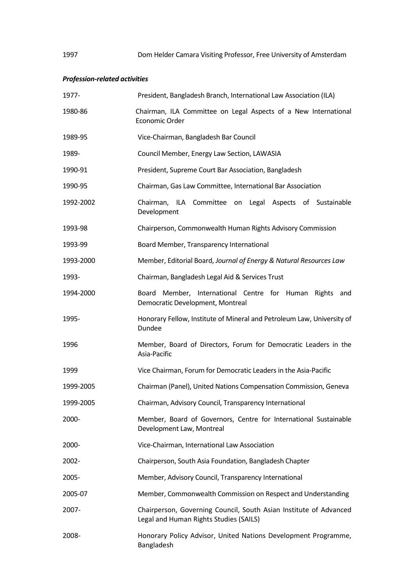# *Profession-related activities*

| 1977-     | President, Bangladesh Branch, International Law Association (ILA)                                           |
|-----------|-------------------------------------------------------------------------------------------------------------|
| 1980-86   | Chairman, ILA Committee on Legal Aspects of a New International<br>Economic Order                           |
| 1989-95   | Vice-Chairman, Bangladesh Bar Council                                                                       |
| 1989-     | Council Member, Energy Law Section, LAWASIA                                                                 |
| 1990-91   | President, Supreme Court Bar Association, Bangladesh                                                        |
| 1990-95   | Chairman, Gas Law Committee, International Bar Association                                                  |
| 1992-2002 | Chairman, ILA Committee on Legal Aspects of Sustainable<br>Development                                      |
| 1993-98   | Chairperson, Commonwealth Human Rights Advisory Commission                                                  |
| 1993-99   | Board Member, Transparency International                                                                    |
| 1993-2000 | Member, Editorial Board, Journal of Energy & Natural Resources Law                                          |
| 1993-     | Chairman, Bangladesh Legal Aid & Services Trust                                                             |
| 1994-2000 | Member, International Centre for Human Rights and<br>Board<br>Democratic Development, Montreal              |
| 1995-     | Honorary Fellow, Institute of Mineral and Petroleum Law, University of<br>Dundee                            |
| 1996      | Member, Board of Directors, Forum for Democratic Leaders in the<br>Asia-Pacific                             |
| 1999      | Vice Chairman, Forum for Democratic Leaders in the Asia-Pacific                                             |
| 1999-2005 | Chairman (Panel), United Nations Compensation Commission, Geneva                                            |
| 1999-2005 | Chairman, Advisory Council, Transparency International                                                      |
| 2000-     | Member, Board of Governors, Centre for International Sustainable<br>Development Law, Montreal               |
| 2000-     | Vice-Chairman, International Law Association                                                                |
| 2002-     | Chairperson, South Asia Foundation, Bangladesh Chapter                                                      |
| 2005-     | Member, Advisory Council, Transparency International                                                        |
| 2005-07   | Member, Commonwealth Commission on Respect and Understanding                                                |
| 2007-     | Chairperson, Governing Council, South Asian Institute of Advanced<br>Legal and Human Rights Studies (SAILS) |
| 2008-     | Honorary Policy Advisor, United Nations Development Programme,<br>Bangladesh                                |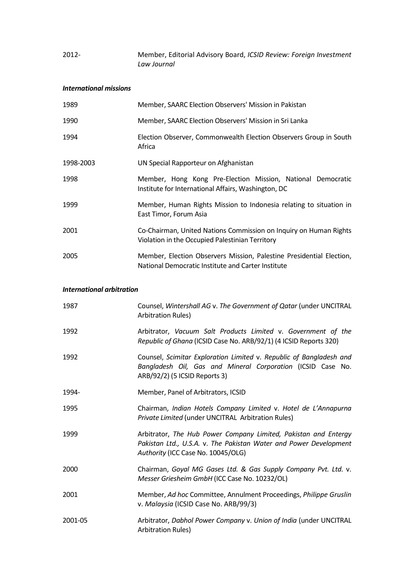| 2012- | Member, Editorial Advisory Board, ICSID Review: Foreign Investment |
|-------|--------------------------------------------------------------------|
|       | Law Journal                                                        |

#### *International missions*

| 1989      | Member, SAARC Election Observers' Mission in Pakistan                                                                      |
|-----------|----------------------------------------------------------------------------------------------------------------------------|
| 1990      | Member, SAARC Election Observers' Mission in Sri Lanka                                                                     |
| 1994      | Election Observer, Commonwealth Election Observers Group in South<br>Africa                                                |
| 1998-2003 | UN Special Rapporteur on Afghanistan                                                                                       |
| 1998      | Member, Hong Kong Pre-Election Mission, National Democratic<br>Institute for International Affairs, Washington, DC         |
| 1999      | Member, Human Rights Mission to Indonesia relating to situation in<br>East Timor, Forum Asia                               |
| 2001      | Co-Chairman, United Nations Commission on Inquiry on Human Rights<br>Violation in the Occupied Palestinian Territory       |
| 2005      | Member, Election Observers Mission, Palestine Presidential Election,<br>National Democratic Institute and Carter Institute |

#### *International arbitration*

| 1987    | Counsel, Wintershall AG v. The Government of Qatar (under UNCITRAL<br><b>Arbitration Rules)</b>                                                                            |
|---------|----------------------------------------------------------------------------------------------------------------------------------------------------------------------------|
| 1992    | Arbitrator, Vacuum Salt Products Limited v. Government of the<br>Republic of Ghana (ICSID Case No. ARB/92/1) (4 ICSID Reports 320)                                         |
| 1992    | Counsel, Scimitar Exploration Limited v. Republic of Bangladesh and<br>Bangladesh Oil, Gas and Mineral Corporation (ICSID Case No.<br>ARB/92/2) (5 ICSID Reports 3)        |
| 1994-   | Member, Panel of Arbitrators, ICSID                                                                                                                                        |
| 1995    | Chairman, Indian Hotels Company Limited v. Hotel de L'Annapurna<br>Private Limited (under UNCITRAL Arbitration Rules)                                                      |
| 1999    | Arbitrator, The Hub Power Company Limited, Pakistan and Entergy<br>Pakistan Ltd., U.S.A. v. The Pakistan Water and Power Development<br>Authority (ICC Case No. 10045/OLG) |
| 2000    | Chairman, Goyal MG Gases Ltd. & Gas Supply Company Pvt. Ltd. v.<br>Messer Griesheim GmbH (ICC Case No. 10232/OL)                                                           |
| 2001    | Member, Ad hoc Committee, Annulment Proceedings, Philippe Gruslin<br>v. Malaysia (ICSID Case No. ARB/99/3)                                                                 |
| 2001-05 | Arbitrator, Dabhol Power Company v. Union of India (under UNCITRAL<br><b>Arbitration Rules</b> )                                                                           |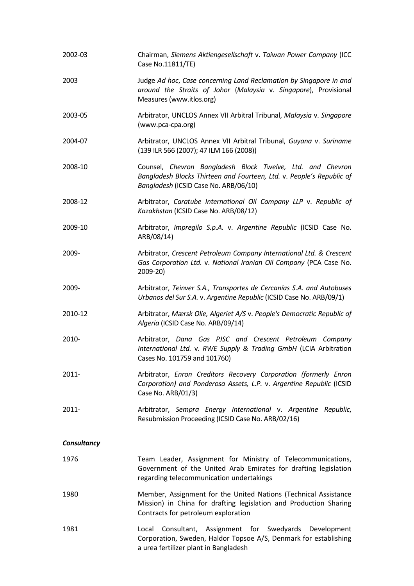| 2002-03     | Chairman, Siemens Aktiengesellschaft v. Taiwan Power Company (ICC<br>Case No.11811/TE)                                                                                       |
|-------------|------------------------------------------------------------------------------------------------------------------------------------------------------------------------------|
| 2003        | Judge Ad hoc, Case concerning Land Reclamation by Singapore in and<br>around the Straits of Johor (Malaysia v. Singapore), Provisional<br>Measures (www.itlos.org)           |
| 2003-05     | Arbitrator, UNCLOS Annex VII Arbitral Tribunal, Malaysia v. Singapore<br>(www.pca-cpa.org)                                                                                   |
| 2004-07     | Arbitrator, UNCLOS Annex VII Arbitral Tribunal, Guyana v. Suriname<br>(139 ILR 566 (2007); 47 ILM 166 (2008))                                                                |
| 2008-10     | Counsel, Chevron Bangladesh Block Twelve, Ltd. and Chevron<br>Bangladesh Blocks Thirteen and Fourteen, Ltd. v. People's Republic of<br>Bangladesh (ICSID Case No. ARB/06/10) |
| 2008-12     | Arbitrator, Caratube International Oil Company LLP v. Republic of<br>Kazakhstan (ICSID Case No. ARB/08/12)                                                                   |
| 2009-10     | Arbitrator, Impregilo S.p.A. v. Argentine Republic (ICSID Case No.<br>ARB/08/14)                                                                                             |
| 2009-       | Arbitrator, Crescent Petroleum Company International Ltd. & Crescent<br>Gas Corporation Ltd. v. National Iranian Oil Company (PCA Case No.<br>2009-20)                       |
| 2009-       | Arbitrator, Teinver S.A., Transportes de Cercanías S.A. and Autobuses<br>Urbanos del Sur S.A. v. Argentine Republic (ICSID Case No. ARB/09/1)                                |
| 2010-12     | Arbitrator, Mærsk Olie, Algeriet A/S v. People's Democratic Republic of<br>Algeria (ICSID Case No. ARB/09/14)                                                                |
| 2010-       | Arbitrator, Dana Gas PJSC and Crescent Petroleum Company<br>International Ltd. v. RWE Supply & Trading GmbH (LCIA Arbitration<br>Cases No. 101759 and 101760)                |
| $2011 -$    | Arbitrator, Enron Creditors Recovery Corporation (formerly Enron<br>Corporation) and Ponderosa Assets, L.P. v. Argentine Republic (ICSID<br>Case No. ARB/01/3)               |
| $2011 -$    | Arbitrator, Sempra Energy International v. Argentine Republic,<br>Resubmission Proceeding (ICSID Case No. ARB/02/16)                                                         |
| Consultancy |                                                                                                                                                                              |
| 1976        | Team Leader, Assignment for Ministry of Telecommunications,<br>Government of the United Arab Emirates for drafting legislation<br>regarding telecommunication undertakings   |
| 1980        | Member, Assignment for the United Nations (Technical Assistance<br>Mission) in China for drafting legislation and Production Sharing<br>Contracts for petroleum exploration  |
| 1981        | Consultant, Assignment for Swedyards Development<br>Local<br>Corporation, Sweden, Haldor Topsoe A/S, Denmark for establishing<br>a urea fertilizer plant in Bangladesh       |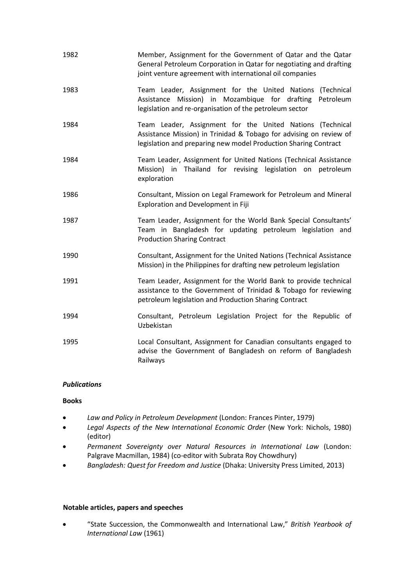| 1982 | Member, Assignment for the Government of Qatar and the Qatar<br>General Petroleum Corporation in Qatar for negotiating and drafting<br>joint venture agreement with international oil companies    |
|------|----------------------------------------------------------------------------------------------------------------------------------------------------------------------------------------------------|
| 1983 | Team Leader, Assignment for the United Nations (Technical<br>Assistance Mission) in Mozambique for drafting<br>Petroleum<br>legislation and re-organisation of the petroleum sector                |
| 1984 | Team Leader, Assignment for the United Nations (Technical<br>Assistance Mission) in Trinidad & Tobago for advising on review of<br>legislation and preparing new model Production Sharing Contract |
| 1984 | Team Leader, Assignment for United Nations (Technical Assistance<br>Mission) in Thailand for revising legislation on petroleum<br>exploration                                                      |
| 1986 | Consultant, Mission on Legal Framework for Petroleum and Mineral<br><b>Exploration and Development in Fiji</b>                                                                                     |
| 1987 | Team Leader, Assignment for the World Bank Special Consultants'<br>Team in Bangladesh for updating petroleum legislation and<br><b>Production Sharing Contract</b>                                 |
| 1990 | Consultant, Assignment for the United Nations (Technical Assistance<br>Mission) in the Philippines for drafting new petroleum legislation                                                          |
| 1991 | Team Leader, Assignment for the World Bank to provide technical<br>assistance to the Government of Trinidad & Tobago for reviewing<br>petroleum legislation and Production Sharing Contract        |
| 1994 | Consultant, Petroleum Legislation Project for the Republic of<br>Uzbekistan                                                                                                                        |
| 1995 | Local Consultant, Assignment for Canadian consultants engaged to<br>advise the Government of Bangladesh on reform of Bangladesh<br>Railways                                                        |

#### *Publications*

#### **Books**

- *Law and Policy in Petroleum Development* (London: Frances Pinter, 1979)
- *Legal Aspects of the New International Economic Order* (New York: Nichols, 1980) (editor)
- *Permanent Sovereignty over Natural Resources in International Law* (London: Palgrave Macmillan, 1984) (co-editor with Subrata Roy Chowdhury)
- *Bangladesh: Quest for Freedom and Justice* (Dhaka: University Press Limited, 2013)

#### **Notable articles, papers and speeches**

• "State Succession, the Commonwealth and International Law," *British Yearbook of International Law* (1961)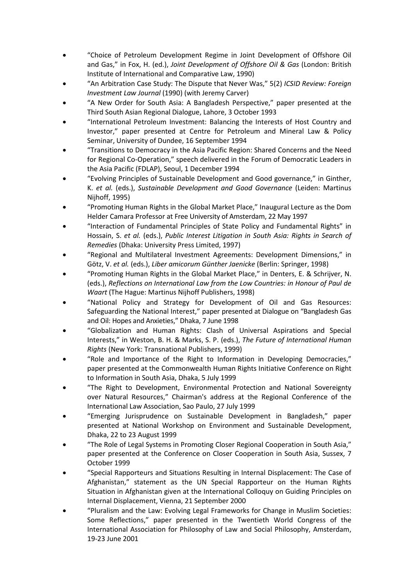- "Choice of Petroleum Development Regime in Joint Development of Offshore Oil and Gas," in Fox, H. (ed.), *Joint Development of Offshore Oil & Gas* (London: British Institute of International and Comparative Law, 1990)
- "An Arbitration Case Study: The Dispute that Never Was," 5(2) *ICSID Review: Foreign Investment Law Journal* (1990) (with Jeremy Carver)
- "A New Order for South Asia: A Bangladesh Perspective," paper presented at the Third South Asian Regional Dialogue, Lahore, 3 October 1993
- "International Petroleum Investment: Balancing the Interests of Host Country and Investor," paper presented at Centre for Petroleum and Mineral Law & Policy Seminar, University of Dundee, 16 September 1994
- "Transitions to Democracy in the Asia Pacific Region: Shared Concerns and the Need for Regional Co-Operation," speech delivered in the Forum of Democratic Leaders in the Asia Pacific (FDLAP), Seoul, 1 December 1994
- "Evolving Principles of Sustainable Development and Good governance," in Ginther, K. *et al.* (eds.), *Sustainable Development and Good Governance* (Leiden: Martinus Nijhoff, 1995)
- "Promoting Human Rights in the Global Market Place," Inaugural Lecture as the Dom Helder Camara Professor at Free University of Amsterdam, 22 May 1997
- "Interaction of Fundamental Principles of State Policy and Fundamental Rights" in Hossain, S. *et al.* (eds.), *Public Interest Litigation in South Asia: Rights in Search of Remedies* (Dhaka: University Press Limited, 1997)
- "Regional and Multilateral Investment Agreements: Development Dimensions," in Götz, V. *et al.* (eds.), *Liber amicorum Günther Jaenicke* (Berlin: Springer, 1998)
- "Promoting Human Rights in the Global Market Place," in Denters, E. & Schrijver, N. (eds.), *Reflections on International Law from the Low Countries: in Honour of Paul de Waart* (The Hague: Martinus Nijhoff Publishers, 1998)
- "National Policy and Strategy for Development of Oil and Gas Resources: Safeguarding the National Interest," paper presented at Dialogue on "Bangladesh Gas and Oil: Hopes and Anxieties," Dhaka, 7 June 1998
- "Globalization and Human Rights: Clash of Universal Aspirations and Special Interests," in Weston, B. H. & Marks, S. P. (eds.), *The Future of International Human Rights* (New York: Transnational Publishers, 1999)
- "Role and Importance of the Right to Information in Developing Democracies," paper presented at the Commonwealth Human Rights Initiative Conference on Right to Information in South Asia, Dhaka, 5 July 1999
- "The Right to Development, Environmental Protection and National Sovereignty over Natural Resources," Chairman's address at the Regional Conference of the International Law Association, Sao Paulo, 27 July 1999
- "Emerging Jurisprudence on Sustainable Development in Bangladesh," paper presented at National Workshop on Environment and Sustainable Development, Dhaka, 22 to 23 August 1999
- "The Role of Legal Systems in Promoting Closer Regional Cooperation in South Asia," paper presented at the Conference on Closer Cooperation in South Asia, Sussex, 7 October 1999
- "Special Rapporteurs and Situations Resulting in Internal Displacement: The Case of Afghanistan," statement as the UN Special Rapporteur on the Human Rights Situation in Afghanistan given at the International Colloquy on Guiding Principles on Internal Displacement, Vienna, 21 September 2000
- "Pluralism and the Law: Evolving Legal Frameworks for Change in Muslim Societies: Some Reflections," paper presented in the Twentieth World Congress of the International Association for Philosophy of Law and Social Philosophy, Amsterdam, 19-23 June 2001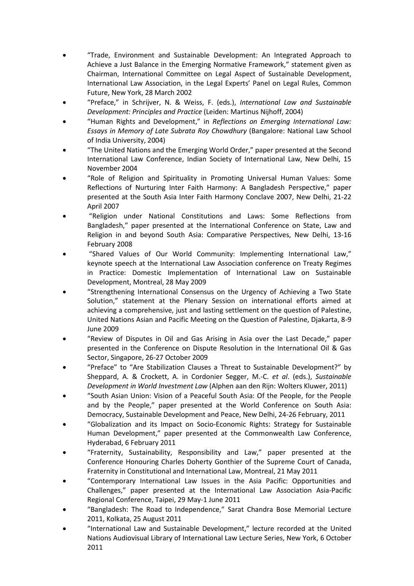- "Trade, Environment and Sustainable Development: An Integrated Approach to Achieve a Just Balance in the Emerging Normative Framework," statement given as Chairman, International Committee on Legal Aspect of Sustainable Development, International Law Association, in the Legal Experts' Panel on Legal Rules, Common Future, New York, 28 March 2002
- "Preface," in Schrijver, N. & Weiss, F. (eds.), *International Law and Sustainable Development: Principles and Practice* (Leiden: Martinus Nijhoff, 2004)
- "Human Rights and Development," in *Reflections on Emerging International Law: Essays in Memory of Late Subrata Roy Chowdhury* (Bangalore: National Law School of India University, 2004)
- "The United Nations and the Emerging World Order," paper presented at the Second International Law Conference, Indian Society of International Law, New Delhi, 15 November 2004
- "Role of Religion and Spirituality in Promoting Universal Human Values: Some Reflections of Nurturing Inter Faith Harmony: A Bangladesh Perspective," paper presented at the South Asia Inter Faith Harmony Conclave 2007, New Delhi, 21-22 April 2007
- "Religion under National Constitutions and Laws: Some Reflections from Bangladesh," paper presented at the International Conference on State, Law and Religion in and beyond South Asia: Comparative Perspectives, New Delhi, 13-16 February 2008
- "Shared Values of Our World Community: Implementing International Law," keynote speech at the International Law Association conference on Treaty Regimes in Practice: Domestic Implementation of International Law on Sustainable Development, Montreal, 28 May 2009
- "Strengthening International Consensus on the Urgency of Achieving a Two State Solution," statement at the Plenary Session on international efforts aimed at achieving a comprehensive, just and lasting settlement on the question of Palestine, United Nations Asian and Pacific Meeting on the Question of Palestine, Djakarta, 8-9 June 2009
- "Review of Disputes in Oil and Gas Arising in Asia over the Last Decade," paper presented in the Conference on Dispute Resolution in the International Oil & Gas Sector, Singapore, 26-27 October 2009
- "Preface" to "Are Stabilization Clauses a Threat to Sustainable Development?" by Sheppard, A. & Crockett, A. in Cordonier Segger, M.-C. *et al*. (eds.), *Sustainable Development in World Investment Law* (Alphen aan den Rijn: Wolters Kluwer, 2011)
- "South Asian Union: Vision of a Peaceful South Asia: Of the People, for the People and by the People," paper presented at the World Conference on South Asia: Democracy, Sustainable Development and Peace, New Delhi, 24-26 February, 2011
- "Globalization and its Impact on Socio-Economic Rights: Strategy for Sustainable Human Development," paper presented at the Commonwealth Law Conference, Hyderabad, 6 February 2011
- "Fraternity, Sustainability, Responsibility and Law," paper presented at the Conference Honouring Charles Doherty Gonthier of the Supreme Court of Canada, Fraternity in Constitutional and International Law, Montreal, 21 May 2011
- "Contemporary International Law Issues in the Asia Pacific: Opportunities and Challenges," paper presented at the International Law Association Asia-Pacific Regional Conference, Taipei, 29 May-1 June 2011
- "Bangladesh: The Road to Independence," Sarat Chandra Bose Memorial Lecture 2011, Kolkata, 25 August 2011
- "International Law and Sustainable Development," lecture recorded at the United Nations Audiovisual Library of International Law Lecture Series, New York, 6 October 2011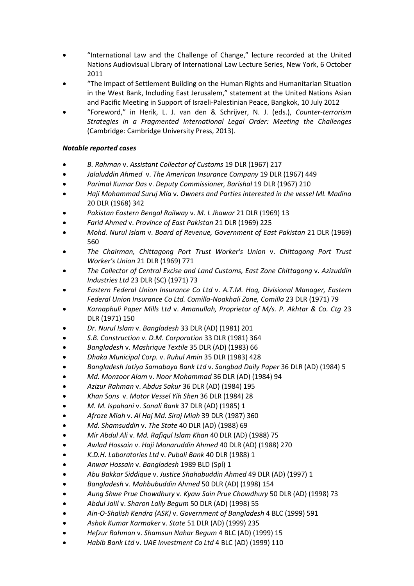- "International Law and the Challenge of Change," lecture recorded at the United Nations Audiovisual Library of International Law Lecture Series, New York, 6 October 2011
- "The Impact of Settlement Building on the Human Rights and Humanitarian Situation in the West Bank, Including East Jerusalem," statement at the United Nations Asian and Pacific Meeting in Support of Israeli-Palestinian Peace, Bangkok, 10 July 2012
- "Foreword," in Herik, L. J. van den & Schrijver, N. J. (eds.), *Counter-terrorism Strategies in a Fragmented International Legal Order: Meeting the Challenges*  (Cambridge: Cambridge University Press, 2013).

### *Notable reported cases*

- *B. Rahman* v. *Assistant Collector of Customs* 19 DLR (1967) 217
- *Jalaluddin Ahmed* v. *The American Insurance Company* 19 DLR (1967) 449
- *Parimal Kumar Das* v. *Deputy Commissioner, Barishal* 19 DLR (1967) 210
- *Haji Mohammad Suruj Mia* v. *Owners and Parties interested in the vessel ML Madina* 20 DLR (1968) 342
- *Pakistan Eastern Bengal Railway* v. *M. L Jhawar* 21 DLR (1969) 13
- *Farid Ahmed* v. *Province of East Pakistan* 21 DLR (1969) 225
- *Mohd. Nurul Islam* v. *Board of Revenue, Government of East Pakistan* 21 DLR (1969) 560
- *The Chairman, Chittagong Port Trust Worker's Union* v. *Chittagong Port Trust Worker's Union* 21 DLR (1969) 771
- *The Collector of Central Excise and Land Customs, East Zone Chittagong* v. *Azizuddin Industries Ltd* 23 DLR (SC) (1971) 73
- *Eastern Federal Union Insurance Co Ltd* v. *A.T.M. Hoq, Divisional Manager, Eastern Federal Union Insurance Co Ltd. Comilla-Noakhali Zone, Comilla* 23 DLR (1971) 79
- *Karnaphuli Paper Mills Ltd* v. *Amanullah, Proprietor of M/s. P. Akhtar & Co. Ctg* 23 DLR (1971) 150
- *Dr. Nurul Islam* v. *Bangladesh* 33 DLR (AD) (1981) 201
- *S.B. Construction* v*. D.M. Corporation* 33 DLR (1981) 364
- *Bangladesh* v. *Mashrique Textile* 35 DLR (AD) (1983) 66
- *Dhaka Municipal Corp.* v. *Ruhul Amin* 35 DLR (1983) 428
- *Bangladesh Jatiya Samabaya Bank Ltd* v. *Sangbad Daily Paper* 36 DLR (AD) (1984) 5
- *Md. Monzoor Alam* v. *Noor Mohammad* 36 DLR (AD) (1984) 94
- *Azizur Rahman* v. *Abdus Sakur* 36 DLR (AD) (1984) 195
- *Khan Sons* v. *Motor Vessel Yih Shen* 36 DLR (1984) 28
- *M. M. Ispahani* v. *Sonali Bank* 37 DLR (AD) (1985) 1
- *Afroze Miah* v. *Al Haj Md. Siraj Miah* 39 DLR (1987) 360
- *Md. Shamsuddin* v. *The State* 40 DLR (AD) (1988) 69
- *Mir Abdul Ali* v. *Md. Rafiqul Islam Khan* 40 DLR (AD) (1988) 75
- *Awlad Hossain* v. *Haji Monaruddin Ahmed* 40 DLR (AD) (1988) 270
- *K.D.H. Laboratories Ltd* v. *Pubali Bank* 40 DLR (1988) 1
- *Anwar Hossain* v. *Bangladesh* 1989 BLD (Spl) 1
- *Abu Bakkar Siddique* v. *Justice Shahabuddin Ahmed* 49 DLR (AD) (1997) 1
- *Bangladesh* v. *Mahbubuddin Ahmed* 50 DLR (AD) (1998) 154
- *Aung Shwe Prue Chowdhury* v. *Kyaw Sain Prue Chowdhury* 50 DLR (AD) (1998) 73
- *Abdul Jalil* v. *Sharon Laily Begum* 50 DLR (AD) (1998) 55
- *Ain-O-Shalish Kendra (ASK)* v. *Government of Bangladesh* 4 BLC (1999) 591
- *Ashok Kumar Karmaker* v. *State* 51 DLR (AD) (1999) 235
- *Hefzur Rahman* v. *Shamsun Nahar Begum* 4 BLC (AD) (1999) 15
- *Habib Bank Ltd* v. *UAE Investment Co Ltd* 4 BLC (AD) (1999) 110